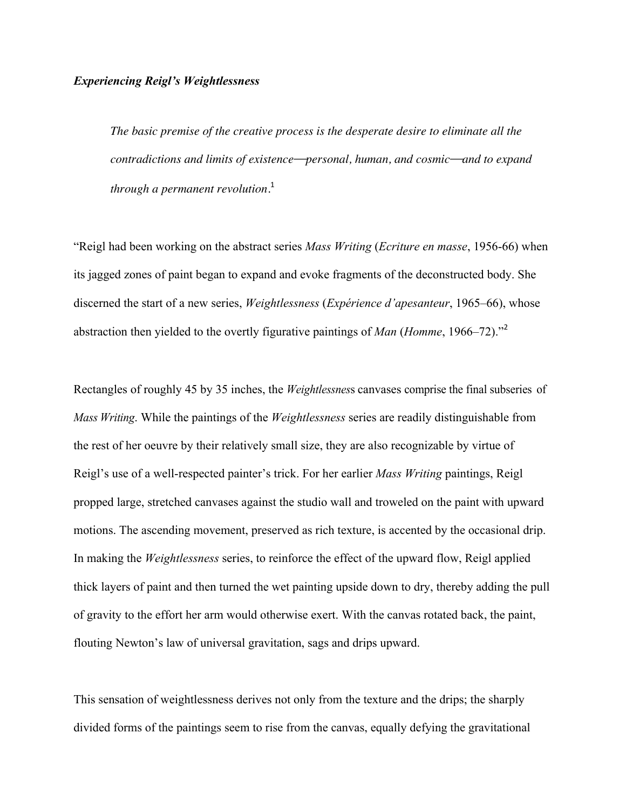## *Experiencing Reigl's Weightlessness*

*The basic premise of the creative process is the desperate desire to eliminate all the contradictions and limits of existence—personal, human, and cosmic—and to expand through a permanent revolution.* 1

"Reigl had been working on the abstract series *Mass Writing* (*Ecriture en masse*, 1956-66) when its jagged zones of paint began to expand and evoke fragments of the deconstructed body. She discerned the start of a new series, *Weightlessness* (*Expérience d'apesanteur*, 1965–66), whose abstraction then yielded to the overtly figurative paintings of *Man* (*Homme*, 1966–72)."<sup>2</sup>

Rectangles of roughly 45 by 35 inches, the *Weightlessnes*s canvases comprise the final subseries of *Mass Writing*. While the paintings of the *Weightlessness* series are readily distinguishable from the rest of her oeuvre by their relatively small size, they are also recognizable by virtue of Reigl's use of a well-respected painter's trick. For her earlier *Mass Writing* paintings, Reigl propped large, stretched canvases against the studio wall and troweled on the paint with upward motions. The ascending movement, preserved as rich texture, is accented by the occasional drip. In making the *Weightlessness* series, to reinforce the effect of the upward flow, Reigl applied thick layers of paint and then turned the wet painting upside down to dry, thereby adding the pull of gravity to the effort her arm would otherwise exert. With the canvas rotated back, the paint, flouting Newton's law of universal gravitation, sags and drips upward.

This sensation of weightlessness derives not only from the texture and the drips; the sharply divided forms of the paintings seem to rise from the canvas, equally defying the gravitational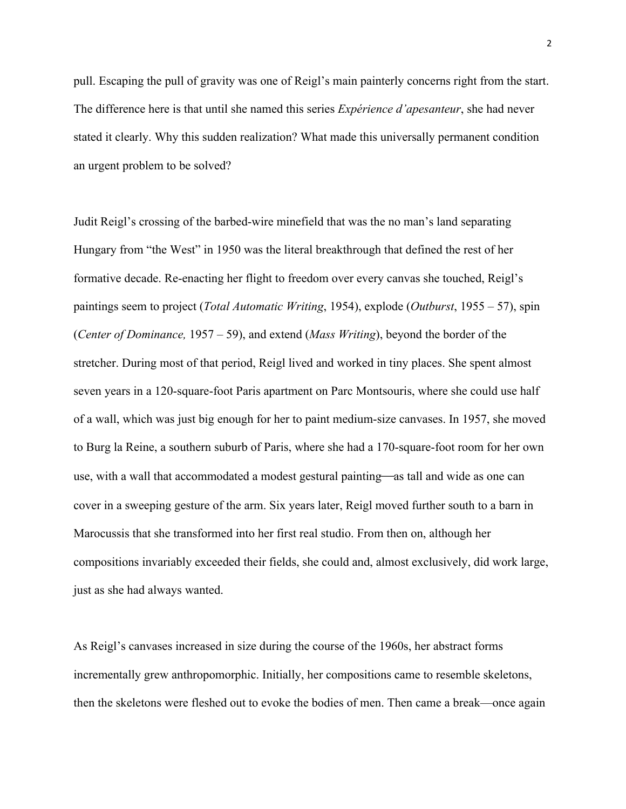pull. Escaping the pull of gravity was one of Reigl's main painterly concerns right from the start. The difference here is that until she named this series *Expérience d'apesanteur*, she had never stated it clearly. Why this sudden realization? What made this universally permanent condition an urgent problem to be solved?

Judit Reigl's crossing of the barbed-wire minefield that was the no man's land separating Hungary from "the West" in 1950 was the literal breakthrough that defined the rest of her formative decade. Re-enacting her flight to freedom over every canvas she touched, Reigl's paintings seem to project (*Total Automatic Writing*, 1954), explode (*Outburst*, 1955 – 57), spin (*Center of Dominance,* 1957 – 59), and extend (*Mass Writing*), beyond the border of the stretcher. During most of that period, Reigl lived and worked in tiny places. She spent almost seven years in a 120-square-foot Paris apartment on Parc Montsouris, where she could use half of a wall, which was just big enough for her to paint medium-size canvases. In 1957, she moved to Burg la Reine, a southern suburb of Paris, where she had a 170-square-foot room for her own use, with a wall that accommodated a modest gestural painting—as tall and wide as one can cover in a sweeping gesture of the arm. Six years later, Reigl moved further south to a barn in Marocussis that she transformed into her first real studio. From then on, although her compositions invariably exceeded their fields, she could and, almost exclusively, did work large, just as she had always wanted.

As Reigl's canvases increased in size during the course of the 1960s, her abstract forms incrementally grew anthropomorphic. Initially, her compositions came to resemble skeletons, then the skeletons were fleshed out to evoke the bodies of men. Then came a break—once again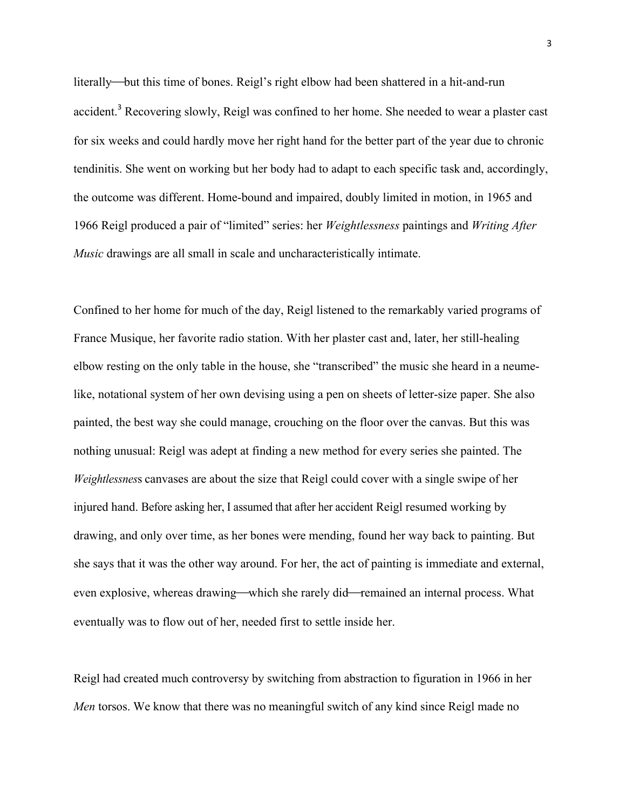literally—but this time of bones. Reigl's right elbow had been shattered in a hit-and-run accident.<sup>3</sup> Recovering slowly, Reigl was confined to her home. She needed to wear a plaster cast for six weeks and could hardly move her right hand for the better part of the year due to chronic tendinitis. She went on working but her body had to adapt to each specific task and, accordingly, the outcome was different. Home-bound and impaired, doubly limited in motion, in 1965 and 1966 Reigl produced a pair of "limited" series: her *Weightlessness* paintings and *Writing After Music* drawings are all small in scale and uncharacteristically intimate.

Confined to her home for much of the day, Reigl listened to the remarkably varied programs of France Musique, her favorite radio station. With her plaster cast and, later, her still-healing elbow resting on the only table in the house, she "transcribed" the music she heard in a neumelike, notational system of her own devising using a pen on sheets of letter-size paper. She also painted, the best way she could manage, crouching on the floor over the canvas. But this was nothing unusual: Reigl was adept at finding a new method for every series she painted. The *Weightlessnes*s canvases are about the size that Reigl could cover with a single swipe of her injured hand. Before asking her, I assumed that after her accident Reigl resumed working by drawing, and only over time, as her bones were mending, found her way back to painting. But she says that it was the other way around. For her, the act of painting is immediate and external, even explosive, whereas drawing—which she rarely did—remained an internal process. What eventually was to flow out of her, needed first to settle inside her.

Reigl had created much controversy by switching from abstraction to figuration in 1966 in her *Men* torsos. We know that there was no meaningful switch of any kind since Reigl made no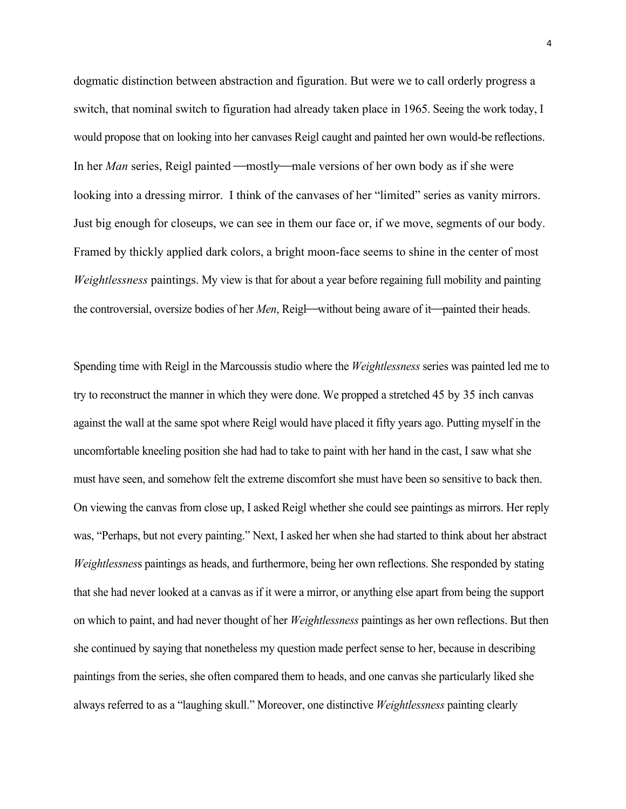dogmatic distinction between abstraction and figuration. But were we to call orderly progress a switch, that nominal switch to figuration had already taken place in 1965. Seeing the work today, I would propose that on looking into her canvases Reigl caught and painted her own would-be reflections. In her *Man* series, Reigl painted —mostly—male versions of her own body as if she were looking into a dressing mirror. I think of the canvases of her "limited" series as vanity mirrors. Just big enough for closeups, we can see in them our face or, if we move, segments of our body. Framed by thickly applied dark colors, a bright moon-face seems to shine in the center of most *Weightlessness* paintings. My view is that for about a year before regaining full mobility and painting the controversial, oversize bodies of her *Men*, Reigl—without being aware of it—painted their heads.

Spending time with Reigl in the Marcoussis studio where the *Weightlessness* series was painted led me to try to reconstruct the manner in which they were done. We propped a stretched 45 by 35 inch canvas against the wall at the same spot where Reigl would have placed it fifty years ago. Putting myself in the uncomfortable kneeling position she had had to take to paint with her hand in the cast, I saw what she must have seen, and somehow felt the extreme discomfort she must have been so sensitive to back then. On viewing the canvas from close up, I asked Reigl whether she could see paintings as mirrors. Her reply was, "Perhaps, but not every painting." Next, I asked her when she had started to think about her abstract *Weightlessnes*s paintings as heads, and furthermore, being her own reflections. She responded by stating that she had never looked at a canvas as if it were a mirror, or anything else apart from being the support on which to paint, and had never thought of her *Weightlessness* paintings as her own reflections. But then she continued by saying that nonetheless my question made perfect sense to her, because in describing paintings from the series, she often compared them to heads, and one canvas she particularly liked she always referred to as a "laughing skull." Moreover, one distinctive *Weightlessness* painting clearly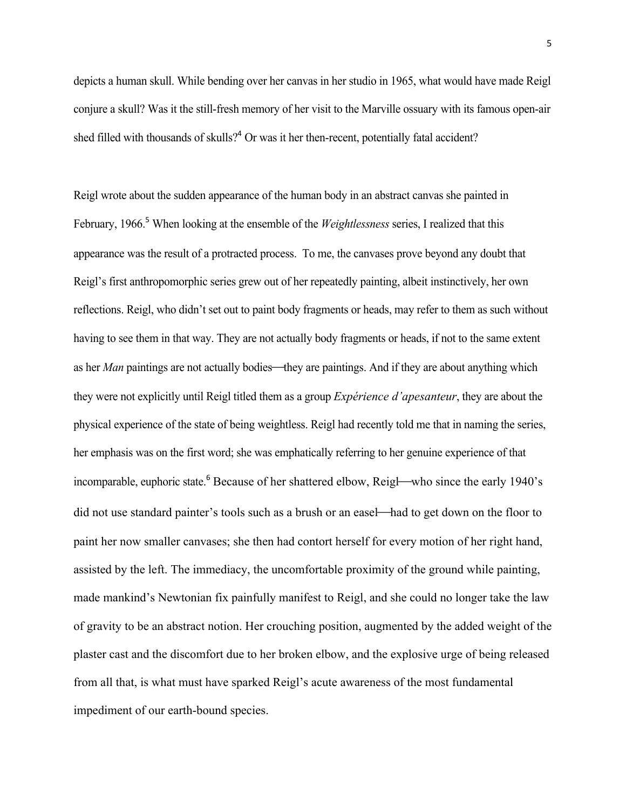depicts a human skull. While bending over her canvas in her studio in 1965, what would have made Reigl conjure a skull? Was it the still-fresh memory of her visit to the Marville ossuary with its famous open-air shed filled with thousands of skulls?<sup>4</sup> Or was it her then-recent, potentially fatal accident?

Reigl wrote about the sudden appearance of the human body in an abstract canvas she painted in February, 1966. <sup>5</sup> When looking at the ensemble of the *Weightlessness* series, I realized that this appearance was the result of a protracted process. To me, the canvases prove beyond any doubt that Reigl's first anthropomorphic series grew out of her repeatedly painting, albeit instinctively, her own reflections. Reigl, who didn't set out to paint body fragments or heads, may refer to them as such without having to see them in that way. They are not actually body fragments or heads, if not to the same extent as her *Man* paintings are not actually bodies—they are paintings. And if they are about anything which they were not explicitly until Reigl titled them as a group *Expérience d'apesanteur*, they are about the physical experience of the state of being weightless. Reigl had recently told me that in naming the series, her emphasis was on the first word; she was emphatically referring to her genuine experience of that incomparable, euphoric state.<sup>6</sup> Because of her shattered elbow, Reigl—who since the early 1940's did not use standard painter's tools such as a brush or an easel—had to get down on the floor to paint her now smaller canvases; she then had contort herself for every motion of her right hand, assisted by the left. The immediacy, the uncomfortable proximity of the ground while painting, made mankind's Newtonian fix painfully manifest to Reigl, and she could no longer take the law of gravity to be an abstract notion. Her crouching position, augmented by the added weight of the plaster cast and the discomfort due to her broken elbow, and the explosive urge of being released from all that, is what must have sparked Reigl's acute awareness of the most fundamental impediment of our earth-bound species.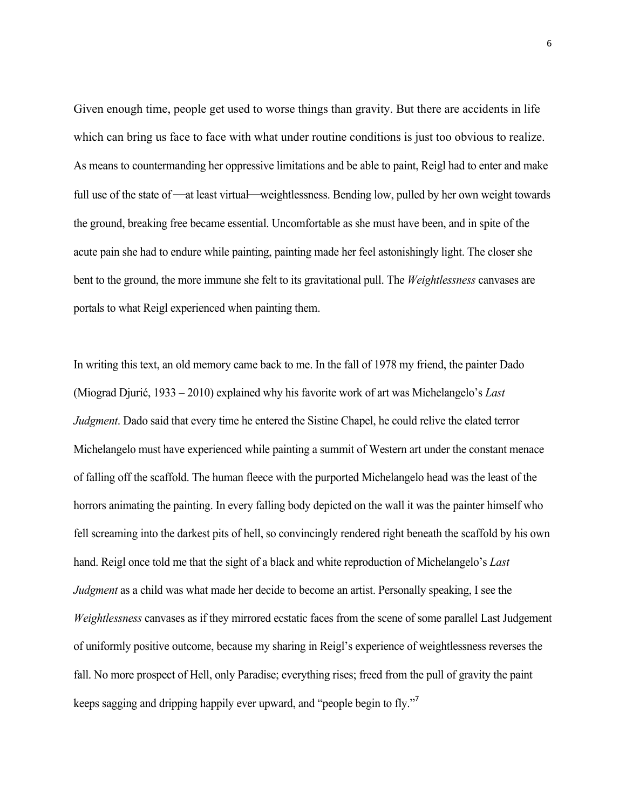Given enough time, people get used to worse things than gravity. But there are accidents in life which can bring us face to face with what under routine conditions is just too obvious to realize. As means to countermanding her oppressive limitations and be able to paint, Reigl had to enter and make full use of the state of —at least virtual—weightlessness. Bending low, pulled by her own weight towards the ground, breaking free became essential. Uncomfortable as she must have been, and in spite of the acute pain she had to endure while painting, painting made her feel astonishingly light. The closer she bent to the ground, the more immune she felt to its gravitational pull. The *Weightlessness* canvases are portals to what Reigl experienced when painting them.

In writing this text, an old memory came back to me. In the fall of 1978 my friend, the painter Dado (Miograd Djurić, 1933 – 2010) explained why his favorite work of art was Michelangelo's *Last Judgment*. Dado said that every time he entered the Sistine Chapel, he could relive the elated terror Michelangelo must have experienced while painting a summit of Western art under the constant menace of falling off the scaffold. The human fleece with the purported Michelangelo head was the least of the horrors animating the painting. In every falling body depicted on the wall it was the painter himself who fell screaming into the darkest pits of hell, so convincingly rendered right beneath the scaffold by his own hand. Reigl once told me that the sight of a black and white reproduction of Michelangelo's *Last Judgment* as a child was what made her decide to become an artist. Personally speaking, I see the *Weightlessness* canvases as if they mirrored ecstatic faces from the scene of some parallel Last Judgement of uniformly positive outcome, because my sharing in Reigl's experience of weightlessness reverses the fall. No more prospect of Hell, only Paradise; everything rises; freed from the pull of gravity the paint keeps sagging and dripping happily ever upward, and "people begin to fly."<sup>7</sup>